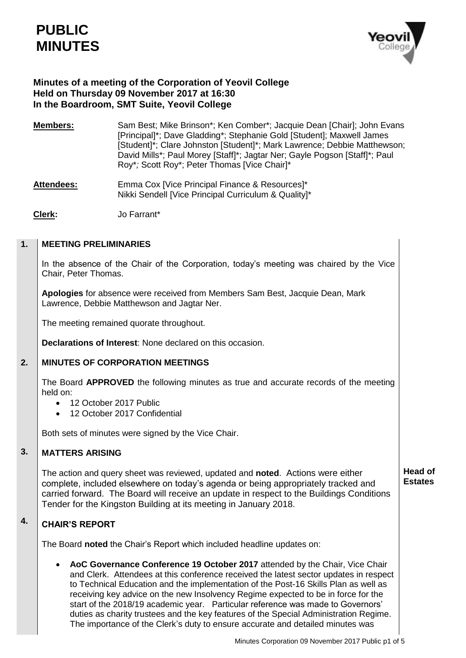

**Head of Estates** 

# **Minutes of a meeting of the Corporation of Yeovil College Held on Thursday 09 November 2017 at 16:30 In the Boardroom, SMT Suite, Yeovil College**

- **Members:** Sam Best; Mike Brinson\*; Ken Comber\*; Jacquie Dean [Chair]; John Evans [Principal]\*; Dave Gladding\*; Stephanie Gold [Student]; Maxwell James [Student]\*; Clare Johnston [Student]\*; Mark Lawrence; Debbie Matthewson; David Mills\*; Paul Morey [Staff]\*; Jagtar Ner; Gayle Pogson [Staff]\*; Paul Roy\**;* Scott Roy\*; Peter Thomas [Vice Chair]\*
- Attendees: Emma Cox [Vice Principal Finance & Resources]\* Nikki Sendell [Vice Principal Curriculum & Quality]\*
- **Clerk:** Jo Farrant\*

### **1. MEETING PRELIMINARIES**

In the absence of the Chair of the Corporation, today's meeting was chaired by the Vice Chair, Peter Thomas.

**Apologies** for absence were received from Members Sam Best, Jacquie Dean, Mark Lawrence, Debbie Matthewson and Jagtar Ner.

The meeting remained quorate throughout.

**Declarations of Interest**: None declared on this occasion.

### **2. MINUTES OF CORPORATION MEETINGS**

The Board **APPROVED** the following minutes as true and accurate records of the meeting held on:

- 12 October 2017 Public
- 12 October 2017 Confidential

Both sets of minutes were signed by the Vice Chair.

### **3. MATTERS ARISING**

The action and query sheet was reviewed, updated and **noted**. Actions were either complete, included elsewhere on today's agenda or being appropriately tracked and carried forward. The Board will receive an update in respect to the Buildings Conditions Tender for the Kingston Building at its meeting in January 2018.

### **4. CHAIR'S REPORT**

The Board **noted** the Chair's Report which included headline updates on:

 **AoC Governance Conference 19 October 2017** attended by the Chair, Vice Chair and Clerk. Attendees at this conference received the latest sector updates in respect to Technical Education and the implementation of the Post-16 Skills Plan as well as receiving key advice on the new Insolvency Regime expected to be in force for the start of the 2018/19 academic year. Particular reference was made to Governors' duties as charity trustees and the key features of the Special Administration Regime. The importance of the Clerk's duty to ensure accurate and detailed minutes was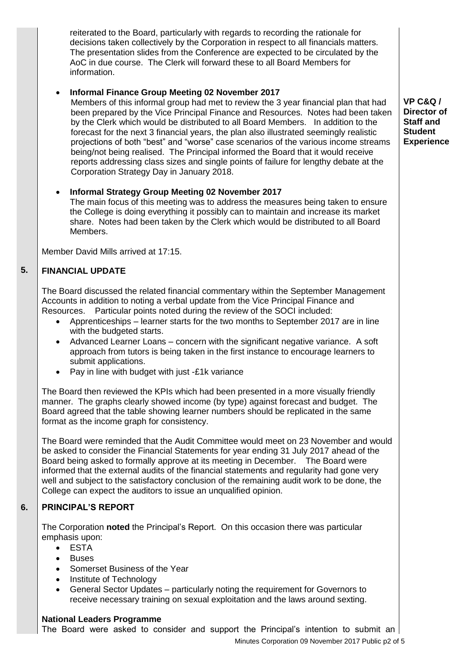reiterated to the Board, particularly with regards to recording the rationale for decisions taken collectively by the Corporation in respect to all financials matters. The presentation slides from the Conference are expected to be circulated by the AoC in due course. The Clerk will forward these to all Board Members for information.

# **Informal Finance Group Meeting 02 November 2017**

Members of this informal group had met to review the 3 year financial plan that had been prepared by the Vice Principal Finance and Resources. Notes had been taken by the Clerk which would be distributed to all Board Members. In addition to the forecast for the next 3 financial years, the plan also illustrated seemingly realistic projections of both "best" and "worse" case scenarios of the various income streams being/not being realised. The Principal informed the Board that it would receive reports addressing class sizes and single points of failure for lengthy debate at the Corporation Strategy Day in January 2018.

# **Informal Strategy Group Meeting 02 November 2017**

The main focus of this meeting was to address the measures being taken to ensure the College is doing everything it possibly can to maintain and increase its market share. Notes had been taken by the Clerk which would be distributed to all Board Members.

Member David Mills arrived at 17:15.

### **5. FINANCIAL UPDATE**

The Board discussed the related financial commentary within the September Management Accounts in addition to noting a verbal update from the Vice Principal Finance and Resources. Particular points noted during the review of the SOCI included:

- Apprenticeships learner starts for the two months to September 2017 are in line with the budgeted starts.
- Advanced Learner Loans concern with the significant negative variance. A soft approach from tutors is being taken in the first instance to encourage learners to submit applications.
- Pay in line with budget with just -£1k variance

The Board then reviewed the KPIs which had been presented in a more visually friendly manner. The graphs clearly showed income (by type) against forecast and budget. The Board agreed that the table showing learner numbers should be replicated in the same format as the income graph for consistency.

The Board were reminded that the Audit Committee would meet on 23 November and would be asked to consider the Financial Statements for year ending 31 July 2017 ahead of the Board being asked to formally approve at its meeting in December. The Board were informed that the external audits of the financial statements and regularity had gone very well and subject to the satisfactory conclusion of the remaining audit work to be done, the College can expect the auditors to issue an unqualified opinion.

### **6. PRINCIPAL'S REPORT**

The Corporation **noted** the Principal's Report. On this occasion there was particular emphasis upon:

- ESTA
- Buses
- Somerset Business of the Year
- Institute of Technology
- General Sector Updates particularly noting the requirement for Governors to receive necessary training on sexual exploitation and the laws around sexting.

# **National Leaders Programme**

The Board were asked to consider and support the Principal's intention to submit an

Minutes Corporation 09 November 2017 Public p2 of 5

**VP C&Q / Director of Staff and Student Experience**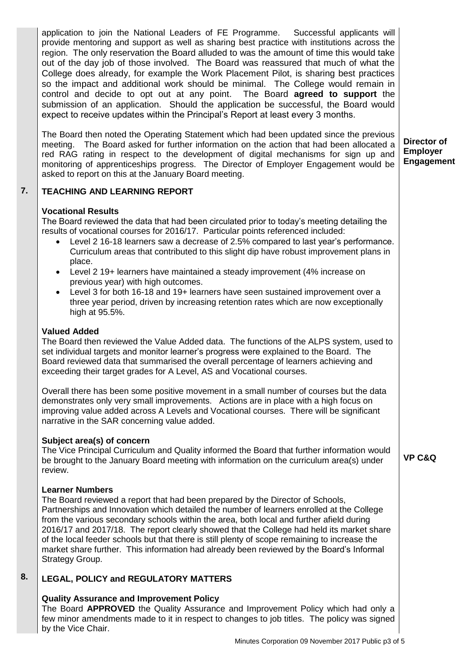application to join the National Leaders of FE Programme. Successful applicants will provide mentoring and support as well as sharing best practice with institutions across the region. The only reservation the Board alluded to was the amount of time this would take out of the day job of those involved. The Board was reassured that much of what the College does already, for example the Work Placement Pilot, is sharing best practices so the impact and additional work should be minimal. The College would remain in control and decide to opt out at any point. The Board **agreed to support** the submission of an application. Should the application be successful, the Board would expect to receive updates within the Principal's Report at least every 3 months. The Board then noted the Operating Statement which had been updated since the previous

meeting. The Board asked for further information on the action that had been allocated a red RAG rating in respect to the development of digital mechanisms for sign up and monitoring of apprenticeships progress. The Director of Employer Engagement would be asked to report on this at the January Board meeting. **Director of Employer Engagement** 

#### **7. TEACHING AND LEARNING REPORT**

### **Vocational Results**

The Board reviewed the data that had been circulated prior to today's meeting detailing the results of vocational courses for 2016/17. Particular points referenced included:

- Level 2 16-18 learners saw a decrease of 2.5% compared to last year's performance. Curriculum areas that contributed to this slight dip have robust improvement plans in place.
- Level 2 19+ learners have maintained a steady improvement (4% increase on previous year) with high outcomes.
- Level 3 for both 16-18 and 19+ learners have seen sustained improvement over a three year period, driven by increasing retention rates which are now exceptionally high at 95.5%.

### **Valued Added**

The Board then reviewed the Value Added data. The functions of the ALPS system, used to set individual targets and monitor learner's progress were explained to the Board. The Board reviewed data that summarised the overall percentage of learners achieving and exceeding their target grades for A Level, AS and Vocational courses.

Overall there has been some positive movement in a small number of courses but the data demonstrates only very small improvements. Actions are in place with a high focus on improving value added across A Levels and Vocational courses. There will be significant narrative in the SAR concerning value added.

### **Subject area(s) of concern**

The Vice Principal Curriculum and Quality informed the Board that further information would be brought to the January Board meeting with information on the curriculum area(s) under review.

### **Learner Numbers**

The Board reviewed a report that had been prepared by the Director of Schools, Partnerships and Innovation which detailed the number of learners enrolled at the College from the various secondary schools within the area, both local and further afield during 2016/17 and 2017/18. The report clearly showed that the College had held its market share of the local feeder schools but that there is still plenty of scope remaining to increase the market share further. This information had already been reviewed by the Board's Informal Strategy Group.

### **8. LEGAL, POLICY and REGULATORY MATTERS**

# **Quality Assurance and Improvement Policy**

The Board **APPROVED** the Quality Assurance and Improvement Policy which had only a few minor amendments made to it in respect to changes to job titles. The policy was signed by the Vice Chair.

**VP C&Q**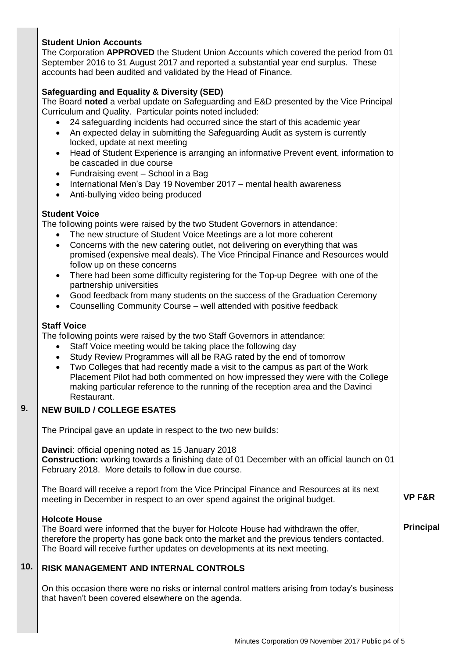# **Student Union Accounts**

The Corporation **APPROVED** the Student Union Accounts which covered the period from 01 September 2016 to 31 August 2017 and reported a substantial year end surplus. These accounts had been audited and validated by the Head of Finance.

# **Safeguarding and Equality & Diversity (SED)**

The Board **noted** a verbal update on Safeguarding and E&D presented by the Vice Principal Curriculum and Quality. Particular points noted included:

- 24 safeguarding incidents had occurred since the start of this academic year
- An expected delay in submitting the Safeguarding Audit as system is currently locked, update at next meeting
- Head of Student Experience is arranging an informative Prevent event, information to be cascaded in due course
- Fundraising event School in a Bag
- International Men's Day 19 November 2017 mental health awareness
- Anti-bullying video being produced

# **Student Voice**

The following points were raised by the two Student Governors in attendance:

- The new structure of Student Voice Meetings are a lot more coherent
- Concerns with the new catering outlet, not delivering on everything that was promised (expensive meal deals). The Vice Principal Finance and Resources would follow up on these concerns
- There had been some difficulty registering for the Top-up Degree with one of the partnership universities
- Good feedback from many students on the success of the Graduation Ceremony
- Counselling Community Course well attended with positive feedback

# **Staff Voice**

The following points were raised by the two Staff Governors in attendance:

- Staff Voice meeting would be taking place the following day
- Study Review Programmes will all be RAG rated by the end of tomorrow
- Two Colleges that had recently made a visit to the campus as part of the Work Placement Pilot had both commented on how impressed they were with the College making particular reference to the running of the reception area and the Davinci Restaurant.

### **9. NEW BUILD / COLLEGE ESATES**

The Principal gave an update in respect to the two new builds:

**Davinci**: official opening noted as 15 January 2018 **Construction:** working towards a finishing date of 01 December with an official launch on 01 February 2018. More details to follow in due course.

The Board will receive a report from the Vice Principal Finance and Resources at its next meeting in December in respect to an over spend against the original budget.

### **Holcote House**

The Board were informed that the buyer for Holcote House had withdrawn the offer, therefore the property has gone back onto the market and the previous tenders contacted. The Board will receive further updates on developments at its next meeting.

# **Principal**

**VP F&R**

### **10. RISK MANAGEMENT AND INTERNAL CONTROLS**

On this occasion there were no risks or internal control matters arising from today's business that haven't been covered elsewhere on the agenda.